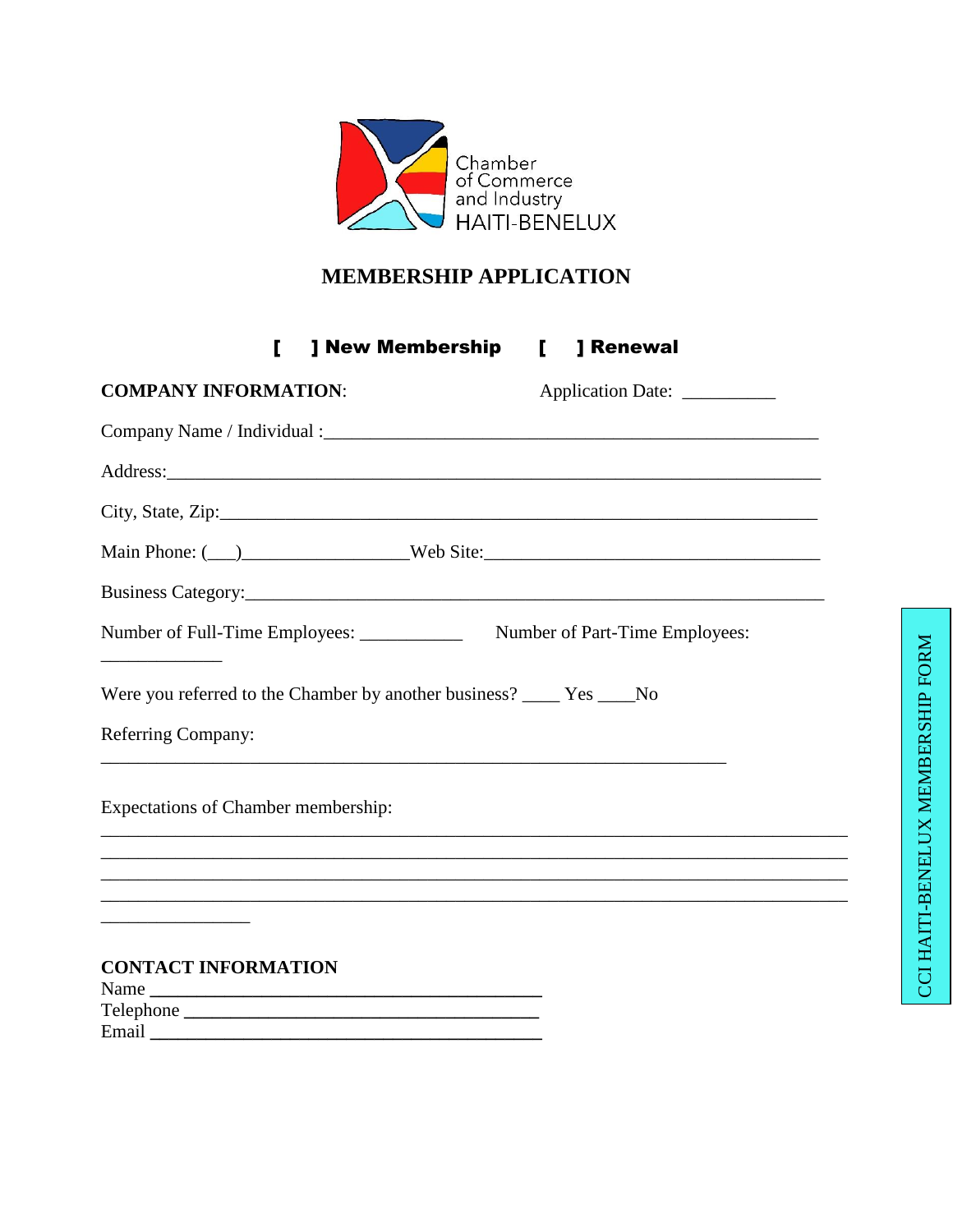

#### MEMBERSHIP APPLICATION

] New Membership [ ] Renewal  $\mathbf{L}$ 

| <b>COMPANY INFORMATION:</b>                                            | Application Date: ___________                                                     |
|------------------------------------------------------------------------|-----------------------------------------------------------------------------------|
|                                                                        |                                                                                   |
|                                                                        |                                                                                   |
|                                                                        |                                                                                   |
|                                                                        |                                                                                   |
|                                                                        |                                                                                   |
|                                                                        |                                                                                   |
| Were you referred to the Chamber by another business? _____ Yes ____No |                                                                                   |
| <b>Referring Company:</b>                                              |                                                                                   |
| <b>Expectations of Chamber membership:</b>                             | ,我们也不能在这里的人,我们也不能在这里的人,我们也不能在这里的人,我们也不能在这里的人,我们也不能在这里的人,我们也不能在这里的人,我们也不能在这里的人,我们  |
|                                                                        |                                                                                   |
|                                                                        | ,我们也不能在这里的人,我们也不能在这里的人,我们也不能在这里的人,我们也不能在这里的人,我们也不能在这里的人,我们也不能在这里的人,我们也不能在这里的人,我们也 |
|                                                                        |                                                                                   |
| <b>CONTACT INFORMATION</b>                                             |                                                                                   |
| Name                                                                   |                                                                                   |
|                                                                        |                                                                                   |
|                                                                        |                                                                                   |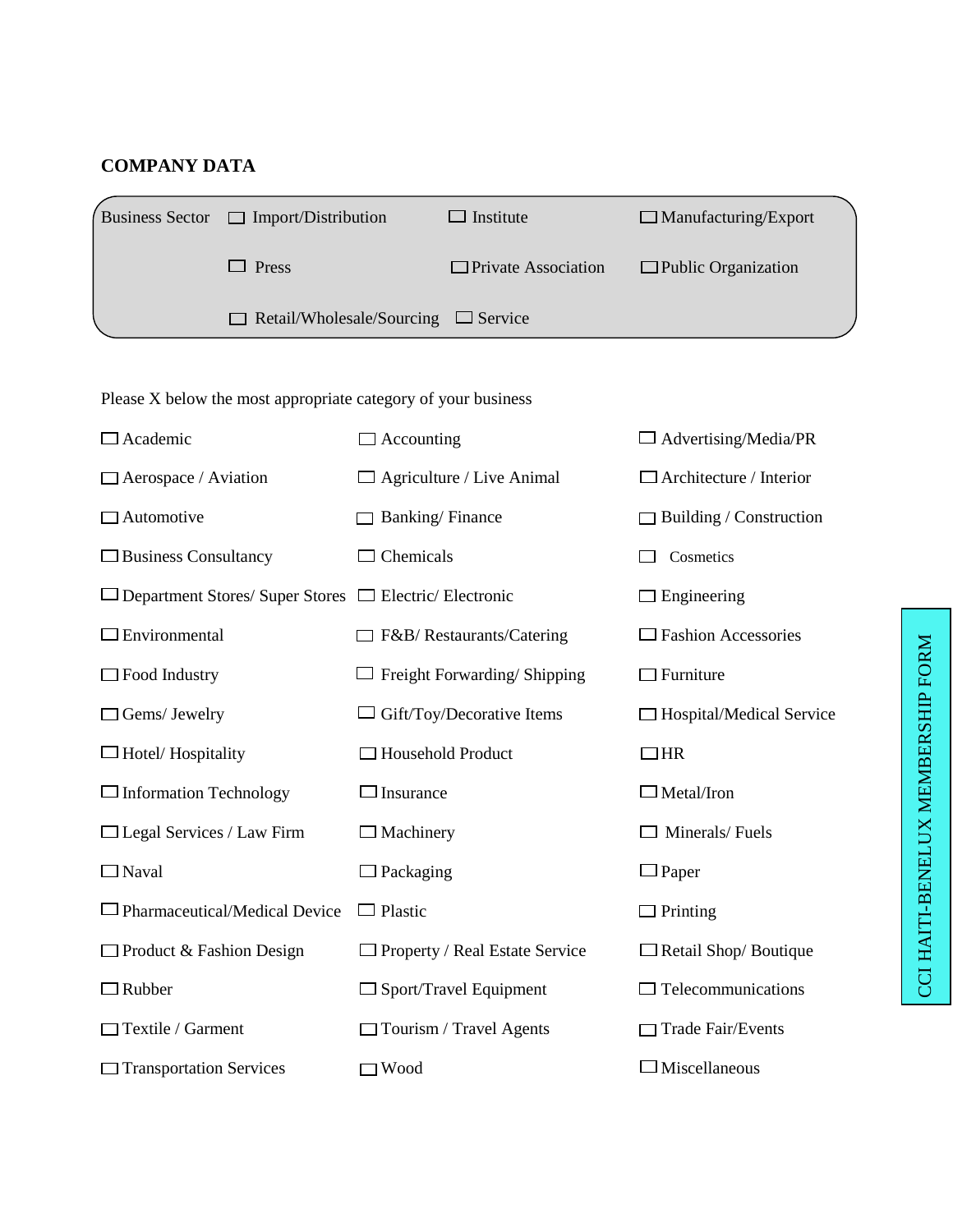#### **COMPANY DATA**

| Business Sector $\Box$ Import/Distribution      | $\Box$ Institute           | $\Box$ Manufacturing/Export |
|-------------------------------------------------|----------------------------|-----------------------------|
| $\Box$ Press                                    | $\Box$ Private Association | $\Box$ Public Organization  |
| $\Box$ Retail/Wholesale/Sourcing $\Box$ Service |                            |                             |

Please X below the most appropriate category of your business

| Academic                                               | Accounting                       | $\Box$ Advertising/Media/PR     |
|--------------------------------------------------------|----------------------------------|---------------------------------|
| $\Box$ Aerospace / Aviation                            | $\Box$ Agriculture / Live Animal | $\Box$ Architecture / Interior  |
| $\Box$ Automotive                                      | <b>Banking/Finance</b>           | $\Box$ Building / Construction  |
| $\Box$ Business Consultancy                            | Chemicals                        | Cosmetics                       |
| Department Stores/ Super Stores □ Electric/ Electronic |                                  | $\Box$ Engineering              |
| $\Box$ Environmental                                   | □ F&B/ Restaurants/Catering      | $\Box$ Fashion Accessories      |
| $\Box$ Food Industry                                   | Freight Forwarding/Shipping      | $\Box$ Furniture                |
| Gems/ Jewelry                                          | Gift/Toy/Decorative Items        | $\Box$ Hospital/Medical Service |
| $\Box$ Hotel/ Hospitality                              | □ Household Product              | $\Box$ HR                       |
| $\Box$ Information Technology                          | Insurance                        | $\Box$ Metal/Iron               |
| $\Box$ Legal Services / Law Firm                       | $\Box$ Machinery                 | Minerals/Fuels                  |
| $\Box$ Naval                                           | Packaging                        | $\Box$ Paper                    |
| $\Box$ Pharmaceutical/Medical Device                   | $\Box$ Plastic                   | $\Box$ Printing                 |
| $\Box$ Product & Fashion Design                        | Property / Real Estate Service   | $\Box$ Retail Shop/ Boutique    |
| $\Box$ Rubber                                          | Sport/Travel Equipment           | $\Box$ Telecommunications       |
| Textile / Garment                                      | $\Box$ Tourism / Travel Agents   | $\Box$ Trade Fair/Events        |
| $\Box$ Transportation Services                         | Wood                             | $\Box$ Miscellaneous            |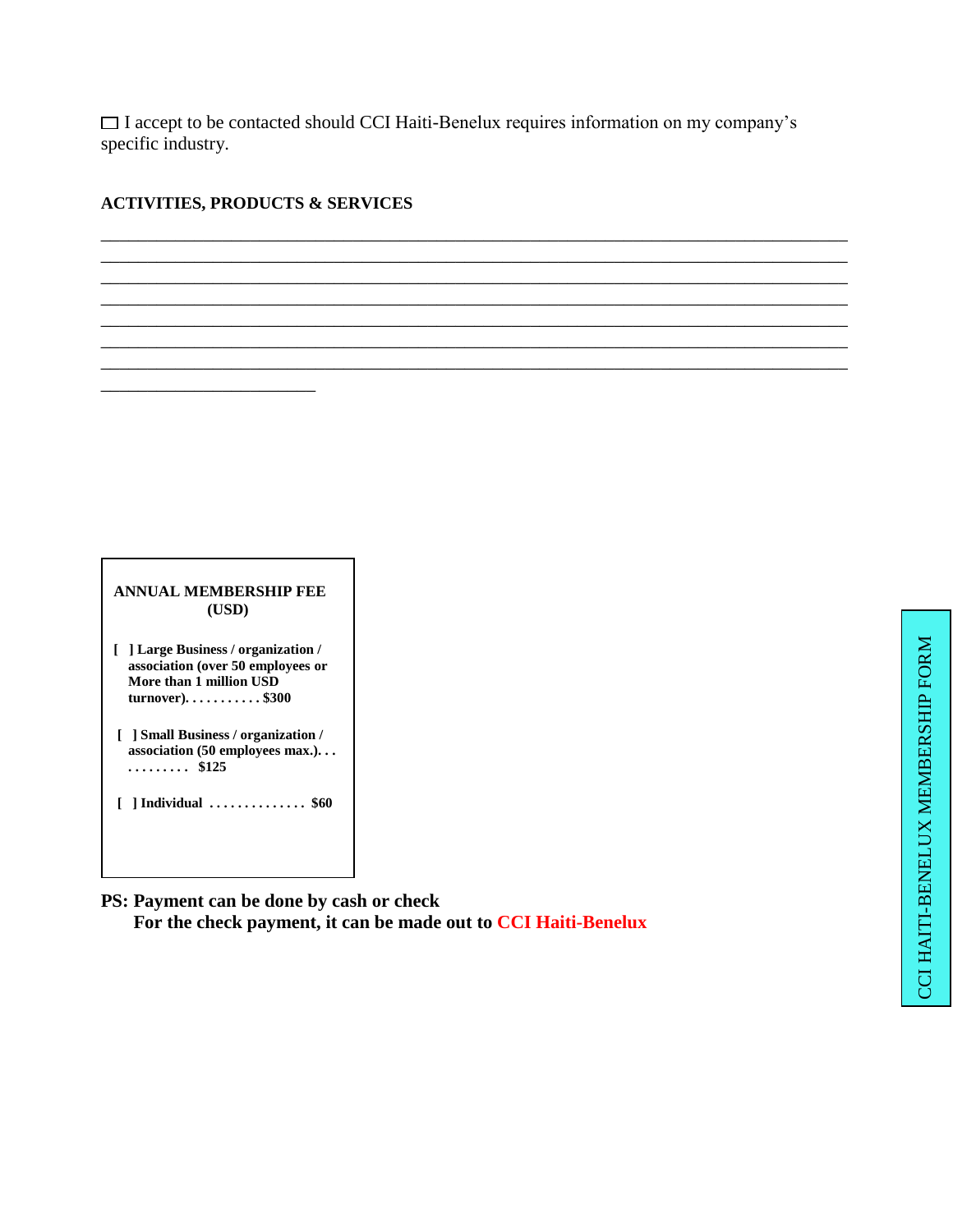$\Box$  I accept to be contacted should CCI Haiti-Benelux requires information on my company's specific industry.

\_\_\_\_\_\_\_\_\_\_\_\_\_\_\_\_\_\_\_\_\_\_\_\_\_\_\_\_\_\_\_\_\_\_\_\_\_\_\_\_\_\_\_\_\_\_\_\_\_\_\_\_\_\_\_\_\_\_\_\_\_\_\_\_\_\_\_\_\_\_\_\_\_\_\_\_\_\_\_\_ \_\_\_\_\_\_\_\_\_\_\_\_\_\_\_\_\_\_\_\_\_\_\_\_\_\_\_\_\_\_\_\_\_\_\_\_\_\_\_\_\_\_\_\_\_\_\_\_\_\_\_\_\_\_\_\_\_\_\_\_\_\_\_\_\_\_\_\_\_\_\_\_\_\_\_\_\_\_\_\_ \_\_\_\_\_\_\_\_\_\_\_\_\_\_\_\_\_\_\_\_\_\_\_\_\_\_\_\_\_\_\_\_\_\_\_\_\_\_\_\_\_\_\_\_\_\_\_\_\_\_\_\_\_\_\_\_\_\_\_\_\_\_\_\_\_\_\_\_\_\_\_\_\_\_\_\_\_\_\_\_ \_\_\_\_\_\_\_\_\_\_\_\_\_\_\_\_\_\_\_\_\_\_\_\_\_\_\_\_\_\_\_\_\_\_\_\_\_\_\_\_\_\_\_\_\_\_\_\_\_\_\_\_\_\_\_\_\_\_\_\_\_\_\_\_\_\_\_\_\_\_\_\_\_\_\_\_\_\_\_\_ \_\_\_\_\_\_\_\_\_\_\_\_\_\_\_\_\_\_\_\_\_\_\_\_\_\_\_\_\_\_\_\_\_\_\_\_\_\_\_\_\_\_\_\_\_\_\_\_\_\_\_\_\_\_\_\_\_\_\_\_\_\_\_\_\_\_\_\_\_\_\_\_\_\_\_\_\_\_\_\_ \_\_\_\_\_\_\_\_\_\_\_\_\_\_\_\_\_\_\_\_\_\_\_\_\_\_\_\_\_\_\_\_\_\_\_\_\_\_\_\_\_\_\_\_\_\_\_\_\_\_\_\_\_\_\_\_\_\_\_\_\_\_\_\_\_\_\_\_\_\_\_\_\_\_\_\_\_\_\_\_ \_\_\_\_\_\_\_\_\_\_\_\_\_\_\_\_\_\_\_\_\_\_\_\_\_\_\_\_\_\_\_\_\_\_\_\_\_\_\_\_\_\_\_\_\_\_\_\_\_\_\_\_\_\_\_\_\_\_\_\_\_\_\_\_\_\_\_\_\_\_\_\_\_\_\_\_\_\_\_\_

#### **ACTIVITIES, PRODUCTS & SERVICES**

\_\_\_\_\_\_\_\_\_\_\_\_\_\_\_\_\_\_\_\_\_\_\_

| ANNUAL MEMBERSHIP FEE<br>(USD)                                                                                           |
|--------------------------------------------------------------------------------------------------------------------------|
| [ ] Large Business / organization /<br>association (over 50 employees or<br>More than 1 million USD<br>$turnover)$ \$300 |
| [ ] Small Business / organization /<br>association $(50$ employees max.)<br>.<br>\$125                                   |
| [ ] Individual  \$60                                                                                                     |

**PS: Payment can be done by cash or check For the check payment, it can be made out to CCI Haiti-Benelux** 

٦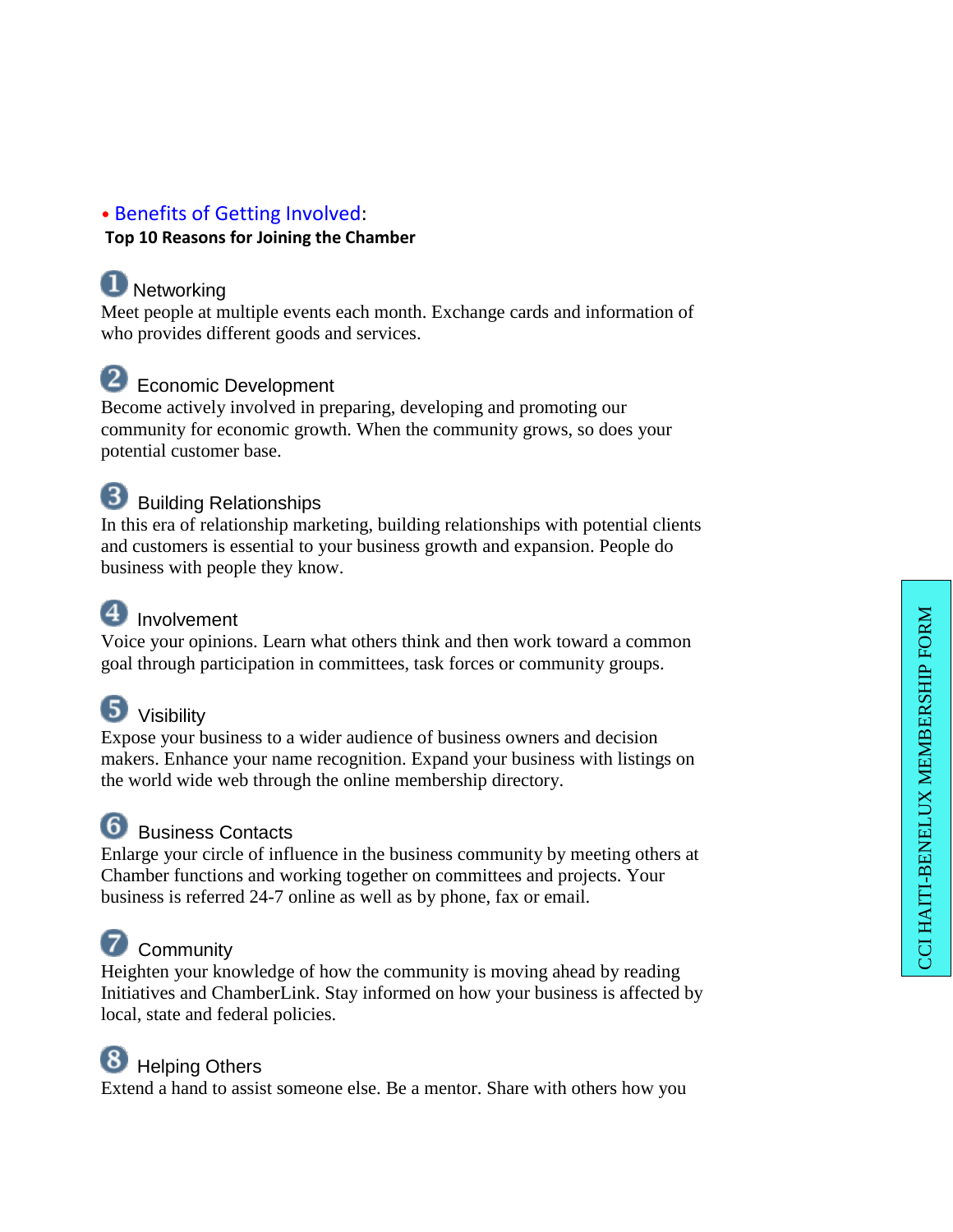#### • [Benefits of Getting Involved](http://www.huntsvillealabamausa.com/chamber/services/benefits.html) :

#### **Top 10 Reasons for Joining the Chamber**

### **D** Networking

Meet people at multiple events each month. Exchange cards and information of who provides different goods and services.

#### <sup>2</sup> Economic Development

Become actively involved in preparing, developing and promoting our community for economic growth. When the community grows, so does your potential customer base.

## **8** Building Relationships

In this era of relationship marketing, building relationships with potential clients and customers is essential to your business growth and expansion. People do business with people they know.

## 4 Involvement

Voice your opinions. Learn what others think and then work toward a common goal through participation in committees, task forces or community groups.

### **5** Visibility

Expose your business to a wider audience of business owners and decision makers. Enhance your name recognition. Expand your business with listings on the world wide web through the online membership directory.

### **6** Business Contacts

Enlarge your circle of influence in the business community by meeting others at Chamber functions and working together on committees and projects. Your business is referred 24 -7 online as well as by phone, fax or email.

# **D** Community

Heighten your knowledge of how the community is moving ahead by reading Initiatives and ChamberLink. Stay informed on how your business is affected by local, state and federal policies.

## **8** Helping Others

Extend a hand to assist someone else. Be a mentor. Share with others how you